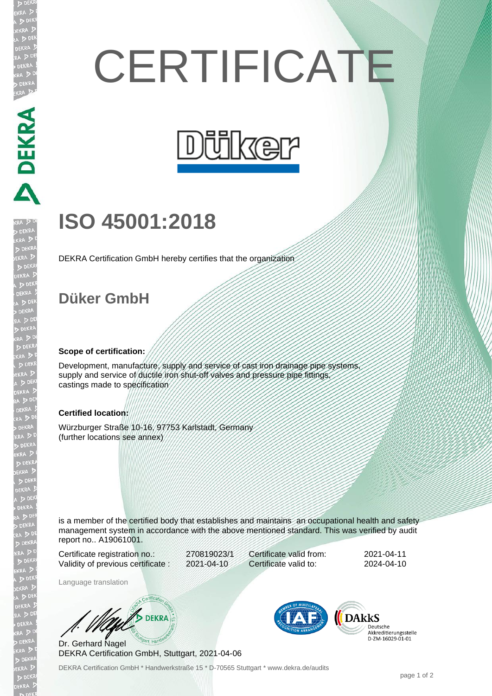# **CERTIFICATE**



## **ISO 45001:2018**

DEKRA Certification GmbH hereby certifies that the organization

### **Düker GmbH**

PEKRA PEKRA

EKRA

JEKR  $D<sub>0</sub>$ 

**EKR** 

#### **Scope of certification:**

Development, manufacture, supply and service of cast iron drainage pipe systems supply and service of ductile iron shut-off valves and pressure pipe fittings. castings made to specification

#### **Certified location:**

Würzburger Straße 10-16, 97753 Karlstadt, Germany (further locations see annex)

is a member of the certified body that establishes and maintains an occupational health and safety management system in accordance with the above mentioned standard. This was verified by audit report no.. A19061001.

Certificate registration no.: 270819023/1 Validity of previous certificate : 2021-04-10

Certificate valid from: 2021-04-11 Certificate valid to: 2024-04-10

Language translation

**DEKRA** 

Dr. Gerhard Nagel DEKRA Certification GmbH, Stuttgart, 2021-04-06



Deutsche Akkreditierungsstelle D-ZM-16029-01-01

DEKRA Certification GmbH \* Handwerkstraße 15 \* D-70565 Stuttgart \* www.dekra.de/audits